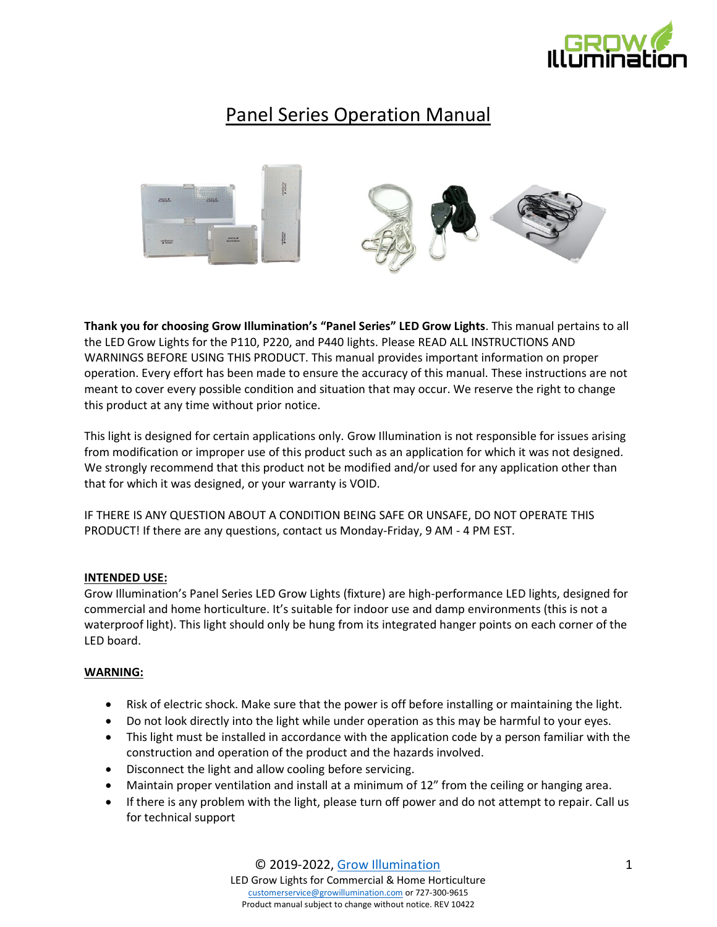

# Panel Series Operation Manual



**Thank you for choosing Grow Illumination's "Panel Series" LED Grow Lights**. This manual pertains to all the LED Grow Lights for the P110, P220, and P440 lights. Please READ ALL INSTRUCTIONS AND WARNINGS BEFORE USING THIS PRODUCT. This manual provides important information on proper operation. Every effort has been made to ensure the accuracy of this manual. These instructions are not meant to cover every possible condition and situation that may occur. We reserve the right to change this product at any time without prior notice.

This light is designed for certain applications only. Grow Illumination is not responsible for issues arising from modification or improper use of this product such as an application for which it was not designed. We strongly recommend that this product not be modified and/or used for any application other than that for which it was designed, or your warranty is VOID.

IF THERE IS ANY QUESTION ABOUT A CONDITION BEING SAFE OR UNSAFE, DO NOT OPERATE THIS PRODUCT! If there are any questions, contact us Monday-Friday, 9 AM - 4 PM EST.

# **INTENDED USE:**

Grow Illumination's Panel Series LED Grow Lights (fixture) are high-performance LED lights, designed for commercial and home horticulture. It's suitable for indoor use and damp environments (this is not a waterproof light). This light should only be hung from its integrated hanger points on each corner of the LED board.

# **WARNING:**

- Risk of electric shock. Make sure that the power is off before installing or maintaining the light.
- Do not look directly into the light while under operation as this may be harmful to your eyes.
- This light must be installed in accordance with the application code by a person familiar with the construction and operation of the product and the hazards involved.
- Disconnect the light and allow cooling before servicing.
- Maintain proper ventilation and install at a minimum of 12" from the ceiling or hanging area.
- If there is any problem with the light, please turn off power and do not attempt to repair. Call us for technical support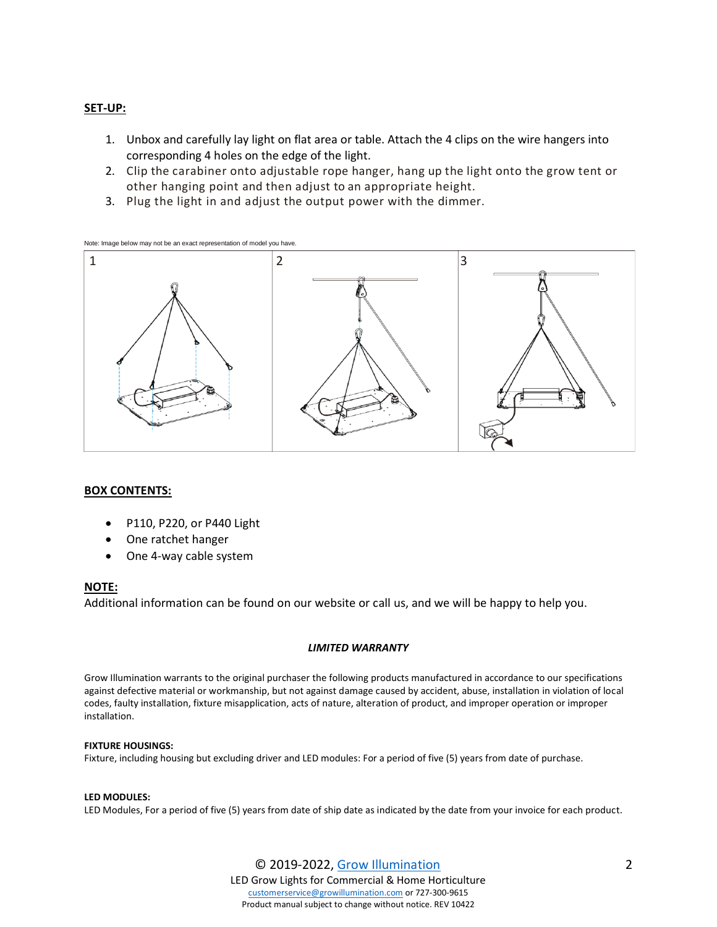## **SET-UP:**

- 1. Unbox and carefully lay light on flat area or table. Attach the 4 clips on the wire hangers into corresponding 4 holes on the edge of the light.
- 2. Clip the carabiner onto adjustable rope hanger, hang up the light onto the grow tent or other hanging point and then adjust to an appropriate height.
- 3. Plug the light in and adjust the output power with the dimmer.





## **BOX CONTENTS:**

- P110, P220, or P440 Light
- One ratchet hanger
- One 4-way cable system

## **NOTE:**

Additional information can be found on our website or call us, and we will be happy to help you.

## *LIMITED WARRANTY*

Grow Illumination warrants to the original purchaser the following products manufactured in accordance to our specifications against defective material or workmanship, but not against damage caused by accident, abuse, installation in violation of local codes, faulty installation, fixture misapplication, acts of nature, alteration of product, and improper operation or improper installation.

## **FIXTURE HOUSINGS:**

Fixture, including housing but excluding driver and LED modules: For a period of five (5) years from date of purchase.

### **LED MODULES:**

LED Modules, For a period of five (5) years from date of ship date as indicated by the date from your invoice for each product.

© 2019-2022, [Grow Illumination](http://www.growillumination.com/) LED Grow Lights for Commercial & Home Horticulture [customerservice@growillumination.com](mailto:customerservice@growillumination.com) or 727-300-9615 Product manual subject to change without notice. REV 10422